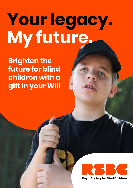# **Your legacy. My future.**

**Brighten the future for blind children with a gift in your Will**



**Roval Society for Blind Children**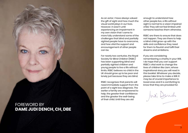

As an actor, I have always valued the gift of sight and how much the visual world plays in our lives. However, it wasn't until experiencing an impairment in my own vision that I came to more fully understand some of the challenges that blind and partially sighted people have to overcome, and how vital the support and encouragement of other people can be.

For nearly two centuries, the Royal Society for Blind Children (RSBC) has been supporting blind and partially sighted children and young people to live a life without limits. RSBC believes no child in the UK should grow up to be poor and lonely just because they are blind.

RSBC recognises that parents will need immediate support from the point of a sight loss diagnosis. The earlier a family are empowered to help, the greater their confidence and the greater the well-being of their child. Until they are old

enough to understand how other people live, a life without sight is normal to a vision impaired child. They will not feel limited until someone teaches them otherwise.

RSBC are there to ensure that does not happen. They are there to help a blind child grow-up with the skills and confidence they need for them to flourish and fulfil their dreams and ambitions.

If you are considering remembering a charity in your Will, I do hope that you can support RSBC's vital work to change the lives of children like Liam, whose inspirational story you will read in this booklet. Whatever you decide, please take time to make a Will. It may be of crucial importance to loved ones and it is comforting to know that they are provided for.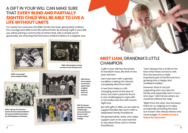## A GIFT IN YOUR WILL CAN MAKE SURE THAT **EVERY BLIND AND PARTIALLY SIGHTED CHILD WILL BE ABLE TO LIVE A LIFE WITHOUT LIMITS**

For nearly two centuries, the RSBC family has been giving blind children the courage and skills to live life without limits. By leaving a gift in your Will, you will be joining a community of others that, with a simple act of generosity, are ensuring that the future of blind children is a brighter one.





**RSBC offered piano tuning services in the Victorian era.**

**1950s A young girl learns Braille at RSBC.**



**1970s a group of cubs from Dorton School raised £8,000 for the Leprosy Relief Association by climbing Mount Snowdon.**





**1954 Dorton House opens. Our annual sports days enabled pupils to strive for success.**

**HRH The Queen and HRH The Duke of Edinburgh arrived at Dorton House in Seal to open Dorton College.**



### **MEET LIAM,** GRANDMA'S LITTLE **CHAMPION**

A gift in your will has the power to transform lives, like that of two year old Liam.

Liam was born with a genetic condition making him almost completely blind from birth.

A new born baby is a life changing event at the best of times, but Liam's parents found it very challenging to cope with a new baby and one with severe sight loss.

But with gifts in Wills, we are able to support families like Liam's with a dedicated Family Practitioner

His grandmother, Anita, who helps support Liam in his care had this to say about Rose, Liam's Family Practitioner.

"Liam always has a smile on his face when Rose comes to visit. She has become a really important part of his life and he is growing into a happy and confident toddler."

However, Rose is not just supporting Liam, but also his family and especially Liam's mum who says "I don't know where we would be without her help."

"Right from the start, she has been there for us, helping us to cope emotionally and bring the best out of Liam. She always listens and never judges. **It's easier to see a future for Liam now.**"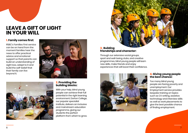## **LEAVE A GIFT OF LIGHT IN YOUR WILL**

#### **1. Family comes first:**

RSBC's Families First service can be on hand from the moment families hear the news to offer practical advice and emotional support so that parents can build an understanding of sight loss, adapt to it and build the self-belief that their family can live beyond it.





#### **2. Providing the building blocks:**

With your help, blind young people can achieve their full potential in the right learning environment. Dorton College, our popular specialist institute, delivers an inclusive and mainstream education programme, giving our students the perfect platform from which to grow.



#### **3. Building friendships and character:**

Through our extensive social groups, sport and well-being clubs, and creative programmes, blind young people will learn new skills, make friends and enjoy experiences that will boost their confidence.



#### **4. Giving young people the best chance:**

Too many blind young people are facing poverty and unemployment. Our Employment service provides bespoke training on topics such as CV writing, assistive technology and interview skills as well as work placements to give the best possible chance of finding employment.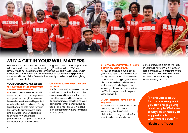

## WHY A GIFT IN **YOUR WILL MATTERS**

Every day four children in the UK will be diagnosed with a vision impairment. Without the kindness of people leaving a gift in their Will to RSBC, we simply would not be able to offer families the support we do today and in the future. These special gifts fund so much of our work to help parents understand their children's needs. There really is no better gift than giving a child the best start in life.

#### **YOUR QUESTIONS ANSWERED Q: How can I be sure that my gift will make a difference?**

**A:** You can be certain that we will use your gift in the most impactful way possible. Your gift will always be used where the need is greatest, whether that is to fund more Family Practitioners to help more families like Liam's, to provide more clubs and activities for young people or to develop new education programmes to improve the lives of our students at Dorton College.

#### **Q: Can I be sure the RSBC will still be here?**

**A:** Of course! We've been around in one form or another for nearly two centuries and there is still so much work that we need to do. Whether it's expanding our Health and Wellbeing programme or growing our Social and Peer groups, we don't plan on going anywhere for a long time to come.

#### **Q: How will my family feel if I leave a gift in my Will to RSBC?**

**A:** Your decision to leave a gift in your Will to RSBC is something your family can be proud of. We always recommend talking to your family about your wishes and there are various ways in which you can leave a gift. Please see our section on 'What can you donate in your Will' on page 10.

#### **Q: Can I afford to leave a gift in my Will?**

**A:** Leaving a gift of any size is an amazing commitment to improving the life of a blind child. After making provision for your family and friends, do

consider leaving a gift to the RSBC in your Will. Any sum left, however large or small, will be used to make sure that no child in the UK grows up to be poor or lonely just because they are blind.

> **"Thank you to RSBC for the amazing work you do to help young blind people. We have always been happy to support such a worthwhile cause." –**

**Nicola and Trevor**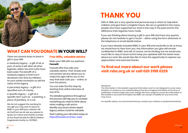

## **WHAT CAN YOU DONATE IN YOUR WILL?**

There are several ways to leave a gift in your Will:

A residuary legacy - a gift of all, or part, of what is left after all other legacies, debts, tax and costs have been paid. The benefit of a residuary legacy is that it isn't devalued over time by inflation. As your estate increases so will the value of the legacy.

A pecuniary legacy - a gift of a specified sum of money.

A specific legacy - a gift of a specific item such as a painting, a piece of jewellery, or a car.

We do not suggest the wording for any gift you may wish to leave to RSBC in your Will (your solicitor will do that) but we do ask you please to quote our name and charity number as the Royal Society for Blind Children (registered charity no. 307892).

#### **Free Wills, valuable advice**

Make your Will with our partners, **Farewill**.

Farewill offer free wills and valuable advice. Their simple and convenient service allows you to make the right will for you in the way that best suits you – online, or over the phone.

You can take the first step by starting their online interview at any time.

The detailed guidance throughout the process will help you to consider everything you need to think about when making a will, and to identify any issues where expert legacy advice could be valuable.

Start making your will online today at: https://farewill.com/rsbc-web/

## **THANK YOU**

Gifts in Wills are a very special and personal way in which to help blind children and give them a brighter future. We are so grateful to the many people who have supported our work in this way in the past and for the difference their legacies have made.

If you are thinking about leaving a gift in your Will and have any queries, please do not hesitate to get in touch – either using the form attached, or the telephone or email details below.

If you have already included RSBC in your Will and would like to let us know, we would love to hear from you. Any information you give will remain confidential to RSBC and will, of course, not be binding, but we would very much like to stay in touch and to keep you updated with the latest news about our work. We would also like to have the opportunity to express our appreciation and warmest thanks.

#### **To find out more about our work please visit rsbc.org.uk or call 020 3198 0225**

#### Disclaimer

The information in this booklet is general information and it is not designed to cover every situation. It is based on our understanding of the law in England and Wales at the time of publication, however legal rules may change. We have sought to ensure the information in this booklet is accurate and helpful, but RSBC can accept no liability for any errors that may occur.

For specific advice, we recommend that you contact your solicitor or professional advisor.